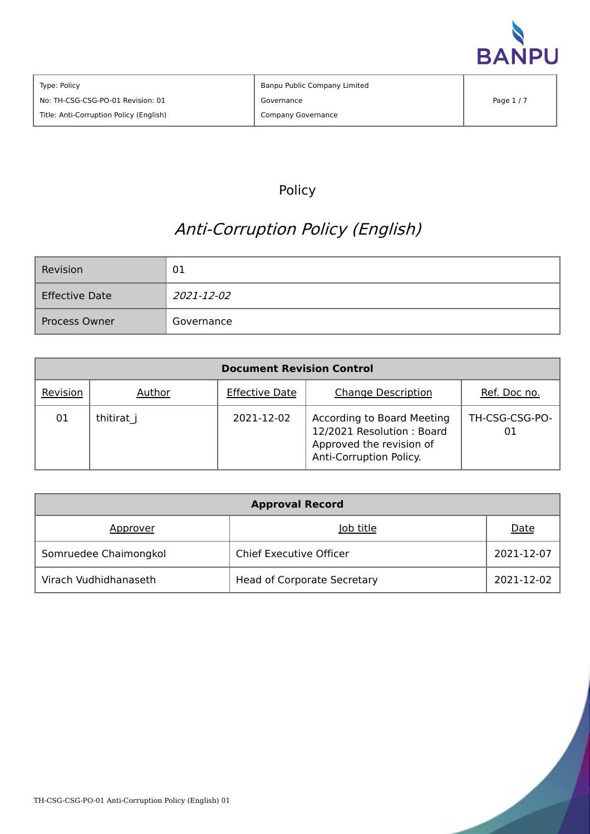

# Policy

# Anti-Corruption Policy (English)

| Revision              | 01         |  |
|-----------------------|------------|--|
| <b>Effective Date</b> | 2021-12-02 |  |
| Process Owner         | Governance |  |

| <b>Document Revision Control</b> |            |                       |                                                                                                                |                      |  |  |
|----------------------------------|------------|-----------------------|----------------------------------------------------------------------------------------------------------------|----------------------|--|--|
| Revision                         | Author     | <b>Effective Date</b> | <b>Change Description</b>                                                                                      | Ref. Doc no.         |  |  |
| 01                               | thitirat j | 2021-12-02            | According to Board Meeting<br>12/2021 Resolution: Board<br>Approved the revision of<br>Anti-Corruption Policy. | TH-CSG-CSG-PO-<br>01 |  |  |

| <b>Approval Record</b> |                                    |            |  |  |  |
|------------------------|------------------------------------|------------|--|--|--|
| Approver               | Job title                          | Date       |  |  |  |
| Somruedee Chaimongkol  | <b>Chief Executive Officer</b>     | 2021-12-07 |  |  |  |
| Virach Vudhidhanaseth  | <b>Head of Corporate Secretary</b> | 2021-12-02 |  |  |  |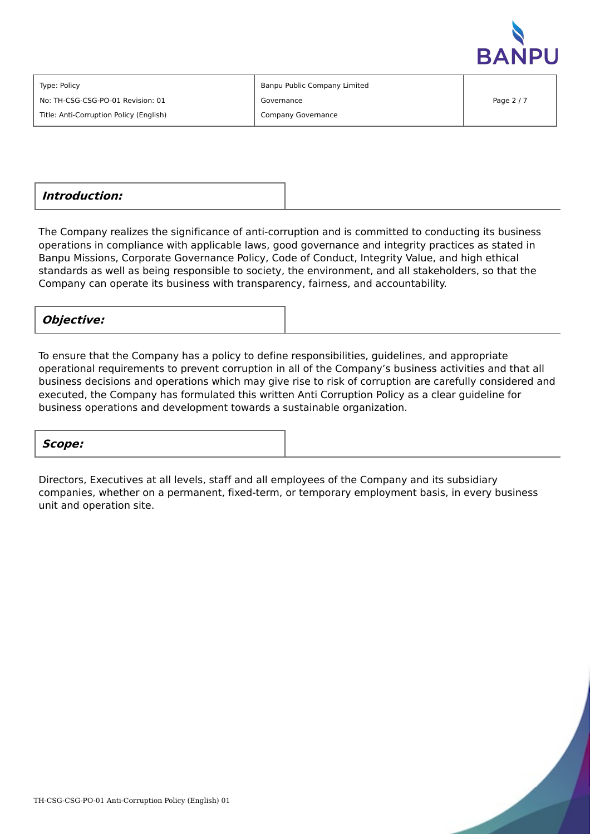

Type: Policy

No: TH-CSG-CSG-PO-01 Revision: 01

Title: Anti-Corruption Policy (English)

Banpu Public Company Limited Governance Company Governance

**Introduction:**

The Company realizes the significance of anti-corruption and is committed to conducting its business operations in compliance with applicable laws, good governance and integrity practices as stated in Banpu Missions, Corporate Governance Policy, Code of Conduct, Integrity Value, and high ethical standards as well as being responsible to society, the environment, and all stakeholders, so that the Company can operate its business with transparency, fairness, and accountability.

### **Objective:**

To ensure that the Company has a policy to define responsibilities, guidelines, and appropriate operational requirements to prevent corruption in all of the Company's business activities and that all business decisions and operations which may give rise to risk of corruption are carefully considered and executed, the Company has formulated this written Anti Corruption Policy as a clear guideline for business operations and development towards a sustainable organization.

# **Scope:**

Directors, Executives at all levels, staff and all employees of the Company and its subsidiary companies, whether on a permanent, fixed-term, or temporary employment basis, in every business unit and operation site.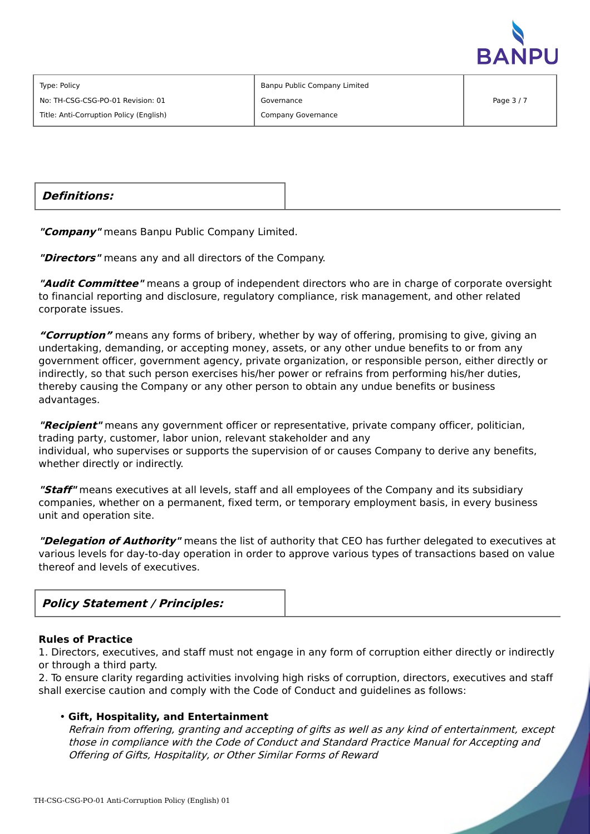

Type: Policy

No: TH-CSG-CSG-PO-01 Revision: 01

Title: Anti-Corruption Policy (English)

Banpu Public Company Limited Governance Company Governance

**Definitions:**

**"Company"** means Banpu Public Company Limited.

**"Directors"** means any and all directors of the Company.

**"Audit Committee"** means a group of independent directors who are in charge of corporate oversight to financial reporting and disclosure, regulatory compliance, risk management, and other related corporate issues.

**"Corruption"** means any forms of bribery, whether by way of offering, promising to give, giving an undertaking, demanding, or accepting money, assets, or any other undue benefits to or from any government officer, government agency, private organization, or responsible person, either directly or indirectly, so that such person exercises his/her power or refrains from performing his/her duties, thereby causing the Company or any other person to obtain any undue benefits or business advantages.

**"Recipient"** means any government officer or representative, private company officer, politician, trading party, customer, labor union, relevant stakeholder and any individual, who supervises or supports the supervision of or causes Company to derive any benefits, whether directly or indirectly.

**"Staff"** means executives at all levels, staff and all employees of the Company and its subsidiary companies, whether on a permanent, fixed term, or temporary employment basis, in every business unit and operation site.

**"Delegation of Authority"** means the list of authority that CEO has further delegated to executives at various levels for day-to-day operation in order to approve various types of transactions based on value thereof and levels of executives.



#### **Rules of Practice**

1. Directors, executives, and staff must not engage in any form of corruption either directly or indirectly or through a third party.

2. To ensure clarity regarding activities involving high risks of corruption, directors, executives and staff shall exercise caution and comply with the Code of Conduct and guidelines as follows:

#### • **Gift, Hospitality, and Entertainment**

Refrain from offering, granting and accepting of gifts as well as any kind of entertainment, except those in compliance with the Code of Conduct and Standard Practice Manual for Accepting and Offering of Gifts, Hospitality, or Other Similar Forms of Reward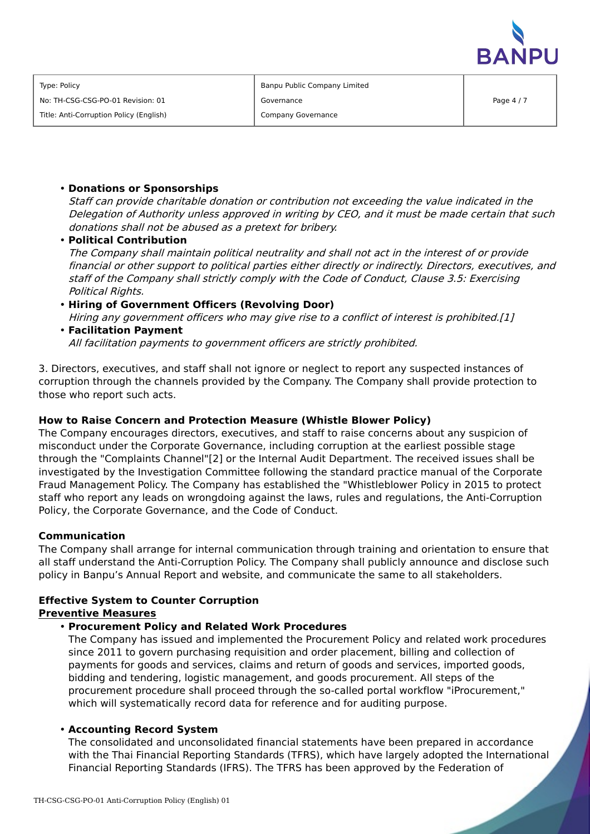

Banpu Public Company Limited Governance Company Governance

#### • **Donations or Sponsorships**

Staff can provide charitable donation or contribution not exceeding the value indicated in the Delegation of Authority unless approved in writing by CEO, and it must be made certain that such donations shall not be abused as <sup>a</sup> pretext for bribery.

• **Political Contribution** The Company shall maintain political neutrality and shall not act in the interest of or provide financial or other support to political parties either directly or indirectly. Directors, executives, and staff of the Company shall strictly comply with the Code of Conduct, Clause 3.5: Exercising Political Rights.

# • **Hiring of Government Officers (Revolving Door)** Hiring any government officers who may give rise to <sup>a</sup> conflict of interest is prohibited.[1]

# • **Facilitation Payment** All facilitation payments to government officers are strictly prohibited.

3. Directors, executives, and staff shall not ignore or neglect to report any suspected instances of corruption through the channels provided by the Company. The Company shall provide protection to those who report such acts.

# **How to Raise Concern and Protection Measure (Whistle Blower Policy)**

The Company encourages directors, executives, and staff to raise concerns about any suspicion of misconduct under the Corporate Governance, including corruption at the earliest possible stage through the "Complaints Channel"[2] or the Internal Audit Department. The received issues shall be investigated by the Investigation Committee following the standard practice manual of the Corporate Fraud Management Policy. The Company has established the "Whistleblower Policy in 2015 to protect staff who report any leads on wrongdoing against the laws, rules and regulations, the Anti-Corruption Policy, the Corporate Governance, and the Code of Conduct.

# **Communication**

The Company shall arrange for internal communication through training and orientation to ensure that all staff understand the Anti-Corruption Policy. The Company shall publicly announce and disclose such policy in Banpu's Annual Report and website, and communicate the same to all stakeholders.

#### **Effective System to Counter Corruption Preventive Measures**

# • **Procurement Policy and Related Work Procedures**

The Company has issued and implemented the Procurement Policy and related work procedures since 2011 to govern purchasing requisition and order placement, billing and collection of payments for goods and services, claims and return of goods and services, imported goods, bidding and tendering, logistic management, and goods procurement. All steps of the procurement procedure shall proceed through the so-called portal workflow "iProcurement," which will systematically record data for reference and for auditing purpose.

# • **Accounting Record System**

The consolidated and unconsolidated financial statements have been prepared in accordance with the Thai Financial Reporting Standards (TFRS), which have largely adopted the International Financial Reporting Standards (IFRS). The TFRS has been approved by the Federation of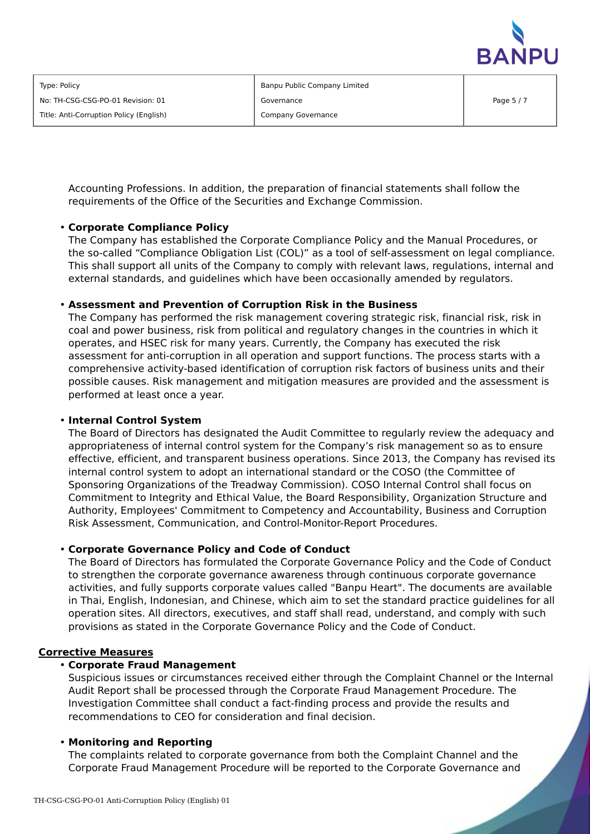

Banpu Public Company Limited Governance Company Governance

Accounting Professions. In addition, the preparation of financial statements shall follow the requirements of the Office of the Securities and Exchange Commission.

#### • **Corporate Compliance Policy**

The Company has established the Corporate Compliance Policy and the Manual Procedures, or the so-called "Compliance Obligation List (COL)" as a tool of self-assessment on legal compliance. This shall support all units of the Company to comply with relevant laws, regulations, internal and external standards, and guidelines which have been occasionally amended by regulators.

#### • **Assessment and Prevention of Corruption Risk in the Business**

The Company has performed the risk management covering strategic risk, financial risk, risk in coal and power business, risk from political and regulatory changes in the countries in which it operates, and HSEC risk for many years. Currently, the Company has executed the risk assessment for anti-corruption in all operation and support functions. The process starts with a comprehensive activity-based identification of corruption risk factors of business units and their possible causes. Risk management and mitigation measures are provided and the assessment is performed at least once a year.

#### • **Internal Control System**

The Board of Directors has designated the Audit Committee to regularly review the adequacy and appropriateness of internal control system for the Company's risk management so as to ensure effective, efficient, and transparent business operations. Since 2013, the Company has revised its internal control system to adopt an international standard or the COSO (the Committee of Sponsoring Organizations of the Treadway Commission). COSO Internal Control shall focus on Commitment to Integrity and Ethical Value, the Board Responsibility, Organization Structure and Authority, Employees' Commitment to Competency and Accountability, Business and Corruption Risk Assessment, Communication, and Control-Monitor-Report Procedures.

#### • **Corporate Governance Policy and Code of Conduct**

The Board of Directors has formulated the Corporate Governance Policy and the Code of Conduct to strengthen the corporate governance awareness through continuous corporate governance activities, and fully supports corporate values called "Banpu Heart". The documents are available in Thai, English, Indonesian, and Chinese, which aim to set the standard practice guidelines for all operation sites. All directors, executives, and staff shall read, understand, and comply with such provisions as stated in the Corporate Governance Policy and the Code of Conduct.

#### **Corrective Measures**

#### • **Corporate Fraud Management**

Suspicious issues or circumstances received either through the Complaint Channel or the Internal Audit Report shall be processed through the Corporate Fraud Management Procedure. The Investigation Committee shall conduct a fact-finding process and provide the results and recommendations to CEO for consideration and final decision.

#### • **Monitoring and Reporting**

The complaints related to corporate governance from both the Complaint Channel and the Corporate Fraud Management Procedure will be reported to the Corporate Governance and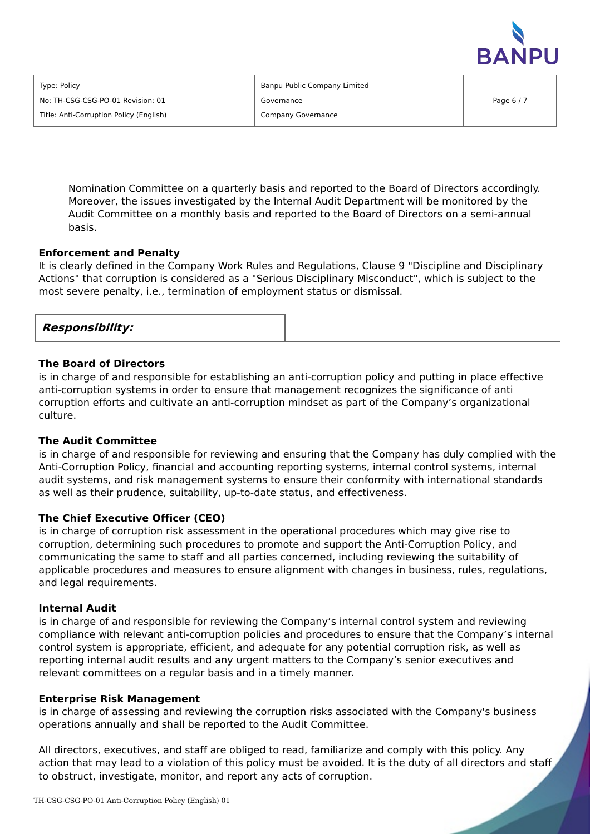

| Type: Policy                            |  |
|-----------------------------------------|--|
| No: TH-CSG-CSG-PO-01 Revision: 01       |  |
| Title: Anti-Corruption Policy (English) |  |

Banpu Public Company Limited Governance Company Governance

Nomination Committee on a quarterly basis and reported to the Board of Directors accordingly. Moreover, the issues investigated by the Internal Audit Department will be monitored by the Audit Committee on a monthly basis and reported to the Board of Directors on a semi-annual basis.

#### **Enforcement and Penalty**

It is clearly defined in the Company Work Rules and Regulations, Clause 9 "Discipline and Disciplinary Actions" that corruption is considered as a "Serious Disciplinary Misconduct", which is subject to the most severe penalty, i.e., termination of employment status or dismissal.

|--|

#### **The Board of Directors**

is in charge of and responsible for establishing an anti-corruption policy and putting in place effective anti-corruption systems in order to ensure that management recognizes the significance of anti corruption efforts and cultivate an anti-corruption mindset as part of the Company's organizational culture.

#### **The Audit Committee**

is in charge of and responsible for reviewing and ensuring that the Company has duly complied with the Anti-Corruption Policy, financial and accounting reporting systems, internal control systems, internal audit systems, and risk management systems to ensure their conformity with international standards as well as their prudence, suitability, up-to-date status, and effectiveness.

#### **The Chief Executive Officer (CEO)**

is in charge of corruption risk assessment in the operational procedures which may give rise to corruption, determining such procedures to promote and support the Anti-Corruption Policy, and communicating the same to staff and all parties concerned, including reviewing the suitability of applicable procedures and measures to ensure alignment with changes in business, rules, regulations, and legal requirements.

#### **Internal Audit**

is in charge of and responsible for reviewing the Company's internal control system and reviewing compliance with relevant anti-corruption policies and procedures to ensure that the Company's internal control system is appropriate, efficient, and adequate for any potential corruption risk, as well as reporting internal audit results and any urgent matters to the Company's senior executives and relevant committees on a regular basis and in a timely manner.

#### **Enterprise Risk Management**

is in charge of assessing and reviewing the corruption risks associated with the Company's business operations annually and shall be reported to the Audit Committee.

All directors, executives, and staff are obliged to read, familiarize and comply with this policy. Any action that may lead to a violation of this policy must be avoided. It is the duty of all directors and staff to obstruct, investigate, monitor, and report any acts of corruption.